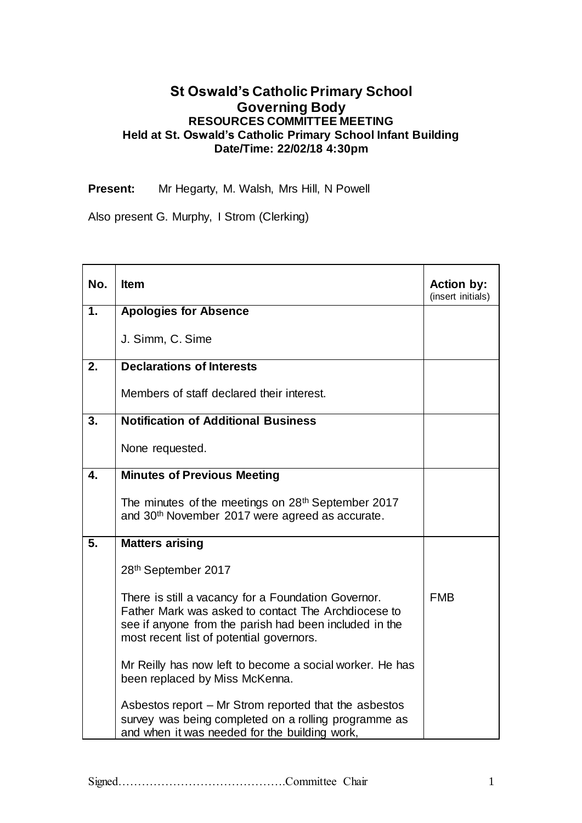## **St Oswald's Catholic Primary School Governing Body RESOURCES COMMITTEE MEETING Held at St. Oswald's Catholic Primary School Infant Building Date/Time: 22/02/18 4:30pm**

**Present:** Mr Hegarty, M. Walsh, Mrs Hill, N Powell

Also present G. Murphy, I Strom (Clerking)

| No. | <b>Item</b>                                                                                                                                                                                                      | <b>Action by:</b><br>(insert initials) |
|-----|------------------------------------------------------------------------------------------------------------------------------------------------------------------------------------------------------------------|----------------------------------------|
| 1.  | <b>Apologies for Absence</b>                                                                                                                                                                                     |                                        |
|     | J. Simm, C. Sime                                                                                                                                                                                                 |                                        |
| 2.  | <b>Declarations of Interests</b>                                                                                                                                                                                 |                                        |
|     | Members of staff declared their interest.                                                                                                                                                                        |                                        |
| 3.  | <b>Notification of Additional Business</b>                                                                                                                                                                       |                                        |
|     | None requested.                                                                                                                                                                                                  |                                        |
| 4.  | <b>Minutes of Previous Meeting</b>                                                                                                                                                                               |                                        |
|     | The minutes of the meetings on 28 <sup>th</sup> September 2017<br>and 30 <sup>th</sup> November 2017 were agreed as accurate.                                                                                    |                                        |
| 5.  | <b>Matters arising</b>                                                                                                                                                                                           |                                        |
|     | 28th September 2017                                                                                                                                                                                              |                                        |
|     | There is still a vacancy for a Foundation Governor.<br>Father Mark was asked to contact The Archdiocese to<br>see if anyone from the parish had been included in the<br>most recent list of potential governors. | <b>FMB</b>                             |
|     | Mr Reilly has now left to become a social worker. He has<br>been replaced by Miss McKenna.                                                                                                                       |                                        |
|     | Asbestos report – Mr Strom reported that the asbestos<br>survey was being completed on a rolling programme as<br>and when it was needed for the building work,                                                   |                                        |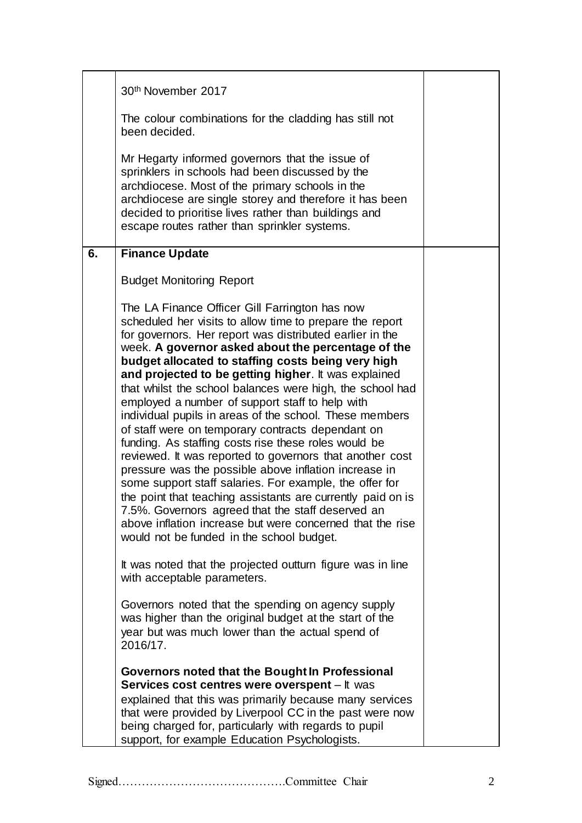|    | 30 <sup>th</sup> November 2017                                                                                                                                                                                                                                                                                                                                                                                                                                                                                                                                                                                                                                                                                                                                                                                                                                                                                                                                                                                                                   |  |
|----|--------------------------------------------------------------------------------------------------------------------------------------------------------------------------------------------------------------------------------------------------------------------------------------------------------------------------------------------------------------------------------------------------------------------------------------------------------------------------------------------------------------------------------------------------------------------------------------------------------------------------------------------------------------------------------------------------------------------------------------------------------------------------------------------------------------------------------------------------------------------------------------------------------------------------------------------------------------------------------------------------------------------------------------------------|--|
|    | The colour combinations for the cladding has still not<br>been decided.                                                                                                                                                                                                                                                                                                                                                                                                                                                                                                                                                                                                                                                                                                                                                                                                                                                                                                                                                                          |  |
|    | Mr Hegarty informed governors that the issue of<br>sprinklers in schools had been discussed by the<br>archdiocese. Most of the primary schools in the<br>archdiocese are single storey and therefore it has been<br>decided to prioritise lives rather than buildings and<br>escape routes rather than sprinkler systems.                                                                                                                                                                                                                                                                                                                                                                                                                                                                                                                                                                                                                                                                                                                        |  |
| 6. | <b>Finance Update</b>                                                                                                                                                                                                                                                                                                                                                                                                                                                                                                                                                                                                                                                                                                                                                                                                                                                                                                                                                                                                                            |  |
|    | <b>Budget Monitoring Report</b>                                                                                                                                                                                                                                                                                                                                                                                                                                                                                                                                                                                                                                                                                                                                                                                                                                                                                                                                                                                                                  |  |
|    | The LA Finance Officer Gill Farrington has now<br>scheduled her visits to allow time to prepare the report<br>for governors. Her report was distributed earlier in the<br>week. A governor asked about the percentage of the<br>budget allocated to staffing costs being very high<br>and projected to be getting higher. It was explained<br>that whilst the school balances were high, the school had<br>employed a number of support staff to help with<br>individual pupils in areas of the school. These members<br>of staff were on temporary contracts dependant on<br>funding. As staffing costs rise these roles would be<br>reviewed. It was reported to governors that another cost<br>pressure was the possible above inflation increase in<br>some support staff salaries. For example, the offer for<br>the point that teaching assistants are currently paid on is<br>7.5%. Governors agreed that the staff deserved an<br>above inflation increase but were concerned that the rise<br>would not be funded in the school budget. |  |
|    | It was noted that the projected outturn figure was in line<br>with acceptable parameters.                                                                                                                                                                                                                                                                                                                                                                                                                                                                                                                                                                                                                                                                                                                                                                                                                                                                                                                                                        |  |
|    | Governors noted that the spending on agency supply<br>was higher than the original budget at the start of the<br>year but was much lower than the actual spend of<br>2016/17.                                                                                                                                                                                                                                                                                                                                                                                                                                                                                                                                                                                                                                                                                                                                                                                                                                                                    |  |
|    | Governors noted that the Bought In Professional<br>Services cost centres were overspent - It was<br>explained that this was primarily because many services<br>that were provided by Liverpool CC in the past were now<br>being charged for, particularly with regards to pupil<br>support, for example Education Psychologists.                                                                                                                                                                                                                                                                                                                                                                                                                                                                                                                                                                                                                                                                                                                 |  |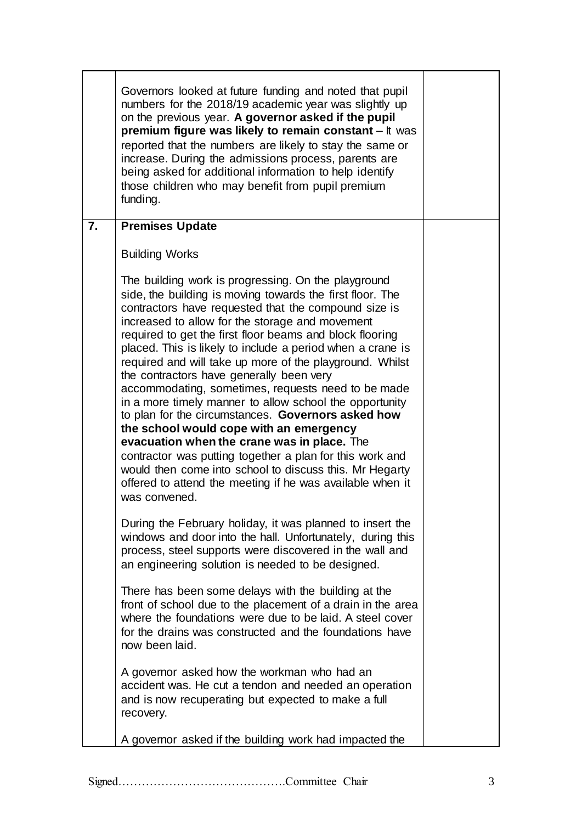|                | Governors looked at future funding and noted that pupil<br>numbers for the 2018/19 academic year was slightly up<br>on the previous year. A governor asked if the pupil<br>premium figure was likely to remain constant - It was<br>reported that the numbers are likely to stay the same or<br>increase. During the admissions process, parents are<br>being asked for additional information to help identify<br>those children who may benefit from pupil premium<br>funding.                                                                                                                                                                                                                                                                                                                                                                                                                                                    |  |
|----------------|-------------------------------------------------------------------------------------------------------------------------------------------------------------------------------------------------------------------------------------------------------------------------------------------------------------------------------------------------------------------------------------------------------------------------------------------------------------------------------------------------------------------------------------------------------------------------------------------------------------------------------------------------------------------------------------------------------------------------------------------------------------------------------------------------------------------------------------------------------------------------------------------------------------------------------------|--|
| $\overline{7}$ | <b>Premises Update</b>                                                                                                                                                                                                                                                                                                                                                                                                                                                                                                                                                                                                                                                                                                                                                                                                                                                                                                              |  |
|                | <b>Building Works</b>                                                                                                                                                                                                                                                                                                                                                                                                                                                                                                                                                                                                                                                                                                                                                                                                                                                                                                               |  |
|                | The building work is progressing. On the playground<br>side, the building is moving towards the first floor. The<br>contractors have requested that the compound size is<br>increased to allow for the storage and movement<br>required to get the first floor beams and block flooring<br>placed. This is likely to include a period when a crane is<br>required and will take up more of the playground. Whilst<br>the contractors have generally been very<br>accommodating, sometimes, requests need to be made<br>in a more timely manner to allow school the opportunity<br>to plan for the circumstances. Governors asked how<br>the school would cope with an emergency<br>evacuation when the crane was in place. The<br>contractor was putting together a plan for this work and<br>would then come into school to discuss this. Mr Hegarty<br>offered to attend the meeting if he was available when it<br>was convened. |  |
|                | During the February holiday, it was planned to insert the<br>windows and door into the hall. Unfortunately, during this<br>process, steel supports were discovered in the wall and<br>an engineering solution is needed to be designed.                                                                                                                                                                                                                                                                                                                                                                                                                                                                                                                                                                                                                                                                                             |  |
|                | There has been some delays with the building at the<br>front of school due to the placement of a drain in the area<br>where the foundations were due to be laid. A steel cover<br>for the drains was constructed and the foundations have<br>now been laid.                                                                                                                                                                                                                                                                                                                                                                                                                                                                                                                                                                                                                                                                         |  |
|                | A governor asked how the workman who had an<br>accident was. He cut a tendon and needed an operation<br>and is now recuperating but expected to make a full<br>recovery.                                                                                                                                                                                                                                                                                                                                                                                                                                                                                                                                                                                                                                                                                                                                                            |  |
|                | A governor asked if the building work had impacted the                                                                                                                                                                                                                                                                                                                                                                                                                                                                                                                                                                                                                                                                                                                                                                                                                                                                              |  |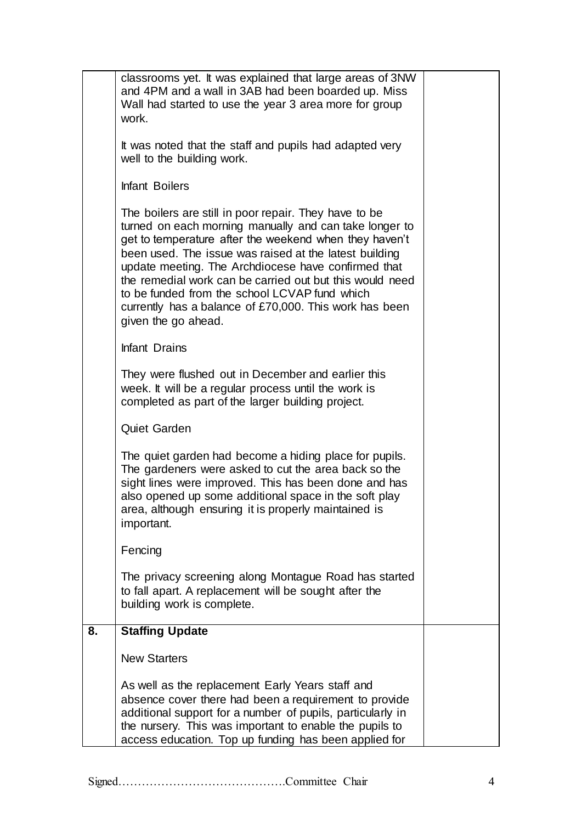|    | classrooms yet. It was explained that large areas of 3NW<br>and 4PM and a wall in 3AB had been boarded up. Miss<br>Wall had started to use the year 3 area more for group<br>work.<br>It was noted that the staff and pupils had adapted very                                                                                                                                                                                                                                            |  |
|----|------------------------------------------------------------------------------------------------------------------------------------------------------------------------------------------------------------------------------------------------------------------------------------------------------------------------------------------------------------------------------------------------------------------------------------------------------------------------------------------|--|
|    | well to the building work.                                                                                                                                                                                                                                                                                                                                                                                                                                                               |  |
|    | <b>Infant Boilers</b>                                                                                                                                                                                                                                                                                                                                                                                                                                                                    |  |
|    | The boilers are still in poor repair. They have to be<br>turned on each morning manually and can take longer to<br>get to temperature after the weekend when they haven't<br>been used. The issue was raised at the latest building<br>update meeting. The Archdiocese have confirmed that<br>the remedial work can be carried out but this would need<br>to be funded from the school LCVAP fund which<br>currently has a balance of £70,000. This work has been<br>given the go ahead. |  |
|    | Infant Drains                                                                                                                                                                                                                                                                                                                                                                                                                                                                            |  |
|    | They were flushed out in December and earlier this<br>week. It will be a regular process until the work is<br>completed as part of the larger building project.                                                                                                                                                                                                                                                                                                                          |  |
|    | Quiet Garden                                                                                                                                                                                                                                                                                                                                                                                                                                                                             |  |
|    | The quiet garden had become a hiding place for pupils.<br>The gardeners were asked to cut the area back so the<br>sight lines were improved. This has been done and has<br>also opened up some additional space in the soft play<br>area, although ensuring it is properly maintained is<br>important.                                                                                                                                                                                   |  |
|    | Fencing                                                                                                                                                                                                                                                                                                                                                                                                                                                                                  |  |
|    | The privacy screening along Montague Road has started<br>to fall apart. A replacement will be sought after the<br>building work is complete.                                                                                                                                                                                                                                                                                                                                             |  |
| 8. | <b>Staffing Update</b>                                                                                                                                                                                                                                                                                                                                                                                                                                                                   |  |
|    | <b>New Starters</b>                                                                                                                                                                                                                                                                                                                                                                                                                                                                      |  |
|    | As well as the replacement Early Years staff and<br>absence cover there had been a requirement to provide<br>additional support for a number of pupils, particularly in<br>the nursery. This was important to enable the pupils to<br>access education. Top up funding has been applied for                                                                                                                                                                                              |  |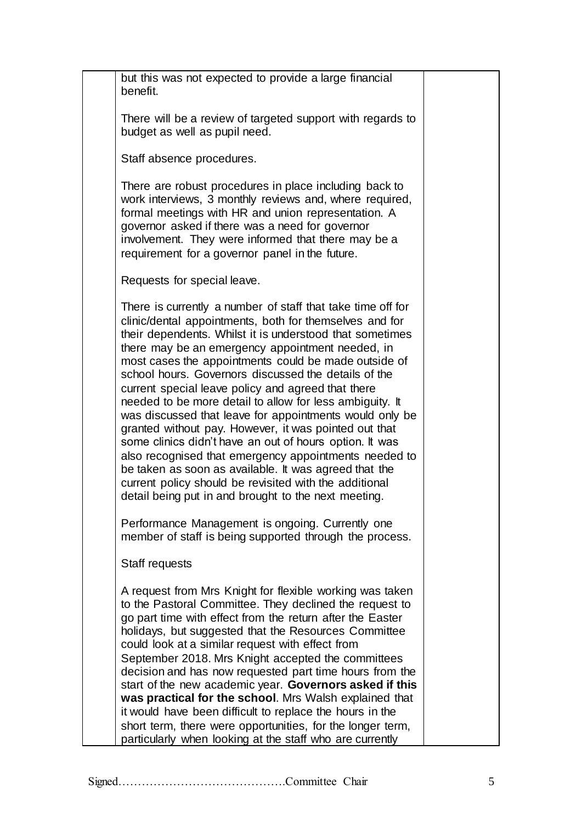| but this was not expected to provide a large financial<br>benefit.                                                                                                                                                                                                                                                                                                                                                                                                                                                                                                                                                                                                                                                                                                                                                                                                                          |  |
|---------------------------------------------------------------------------------------------------------------------------------------------------------------------------------------------------------------------------------------------------------------------------------------------------------------------------------------------------------------------------------------------------------------------------------------------------------------------------------------------------------------------------------------------------------------------------------------------------------------------------------------------------------------------------------------------------------------------------------------------------------------------------------------------------------------------------------------------------------------------------------------------|--|
| There will be a review of targeted support with regards to<br>budget as well as pupil need.                                                                                                                                                                                                                                                                                                                                                                                                                                                                                                                                                                                                                                                                                                                                                                                                 |  |
| Staff absence procedures.                                                                                                                                                                                                                                                                                                                                                                                                                                                                                                                                                                                                                                                                                                                                                                                                                                                                   |  |
| There are robust procedures in place including back to<br>work interviews, 3 monthly reviews and, where required,<br>formal meetings with HR and union representation. A<br>governor asked if there was a need for governor<br>involvement. They were informed that there may be a<br>requirement for a governor panel in the future.                                                                                                                                                                                                                                                                                                                                                                                                                                                                                                                                                       |  |
| Requests for special leave.                                                                                                                                                                                                                                                                                                                                                                                                                                                                                                                                                                                                                                                                                                                                                                                                                                                                 |  |
| There is currently a number of staff that take time off for<br>clinic/dental appointments, both for themselves and for<br>their dependents. Whilst it is understood that sometimes<br>there may be an emergency appointment needed, in<br>most cases the appointments could be made outside of<br>school hours. Governors discussed the details of the<br>current special leave policy and agreed that there<br>needed to be more detail to allow for less ambiguity. It<br>was discussed that leave for appointments would only be<br>granted without pay. However, it was pointed out that<br>some clinics didn't have an out of hours option. It was<br>also recognised that emergency appointments needed to<br>be taken as soon as available. It was agreed that the<br>current policy should be revisited with the additional<br>detail being put in and brought to the next meeting. |  |
| Performance Management is ongoing. Currently one<br>member of staff is being supported through the process.                                                                                                                                                                                                                                                                                                                                                                                                                                                                                                                                                                                                                                                                                                                                                                                 |  |
| Staff requests                                                                                                                                                                                                                                                                                                                                                                                                                                                                                                                                                                                                                                                                                                                                                                                                                                                                              |  |
| A request from Mrs Knight for flexible working was taken<br>to the Pastoral Committee. They declined the request to<br>go part time with effect from the return after the Easter<br>holidays, but suggested that the Resources Committee<br>could look at a similar request with effect from<br>September 2018. Mrs Knight accepted the committees<br>decision and has now requested part time hours from the<br>start of the new academic year. Governors asked if this<br>was practical for the school. Mrs Walsh explained that<br>it would have been difficult to replace the hours in the<br>short term, there were opportunities, for the longer term,<br>particularly when looking at the staff who are currently                                                                                                                                                                    |  |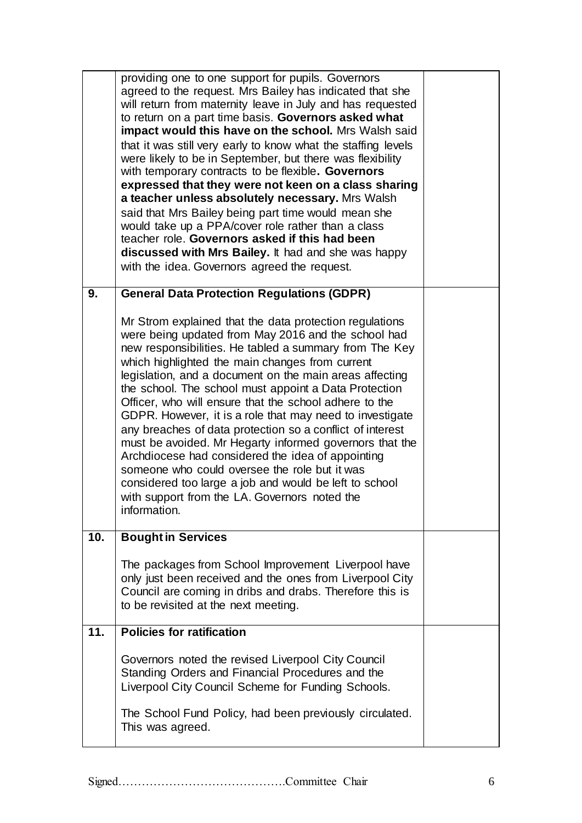|     | providing one to one support for pupils. Governors<br>agreed to the request. Mrs Bailey has indicated that she<br>will return from maternity leave in July and has requested<br>to return on a part time basis. Governors asked what<br>impact would this have on the school. Mrs Walsh said<br>that it was still very early to know what the staffing levels<br>were likely to be in September, but there was flexibility<br>with temporary contracts to be flexible. Governors<br>expressed that they were not keen on a class sharing<br>a teacher unless absolutely necessary. Mrs Walsh<br>said that Mrs Bailey being part time would mean she<br>would take up a PPA/cover role rather than a class<br>teacher role. Governors asked if this had been<br>discussed with Mrs Bailey. It had and she was happy<br>with the idea. Governors agreed the request. |  |
|-----|--------------------------------------------------------------------------------------------------------------------------------------------------------------------------------------------------------------------------------------------------------------------------------------------------------------------------------------------------------------------------------------------------------------------------------------------------------------------------------------------------------------------------------------------------------------------------------------------------------------------------------------------------------------------------------------------------------------------------------------------------------------------------------------------------------------------------------------------------------------------|--|
| 9.  | <b>General Data Protection Regulations (GDPR)</b>                                                                                                                                                                                                                                                                                                                                                                                                                                                                                                                                                                                                                                                                                                                                                                                                                  |  |
|     | Mr Strom explained that the data protection regulations<br>were being updated from May 2016 and the school had<br>new responsibilities. He tabled a summary from The Key<br>which highlighted the main changes from current<br>legislation, and a document on the main areas affecting<br>the school. The school must appoint a Data Protection<br>Officer, who will ensure that the school adhere to the<br>GDPR. However, it is a role that may need to investigate<br>any breaches of data protection so a conflict of interest<br>must be avoided. Mr Hegarty informed governors that the<br>Archdiocese had considered the idea of appointing<br>someone who could oversee the role but it was<br>considered too large a job and would be left to school<br>with support from the LA. Governors noted the<br>information.                                     |  |
| 10. | <b>Bought in Services</b>                                                                                                                                                                                                                                                                                                                                                                                                                                                                                                                                                                                                                                                                                                                                                                                                                                          |  |
|     | The packages from School Improvement Liverpool have<br>only just been received and the ones from Liverpool City<br>Council are coming in dribs and drabs. Therefore this is<br>to be revisited at the next meeting.                                                                                                                                                                                                                                                                                                                                                                                                                                                                                                                                                                                                                                                |  |
| 11. | <b>Policies for ratification</b>                                                                                                                                                                                                                                                                                                                                                                                                                                                                                                                                                                                                                                                                                                                                                                                                                                   |  |
|     | Governors noted the revised Liverpool City Council<br>Standing Orders and Financial Procedures and the<br>Liverpool City Council Scheme for Funding Schools.                                                                                                                                                                                                                                                                                                                                                                                                                                                                                                                                                                                                                                                                                                       |  |
|     | The School Fund Policy, had been previously circulated.<br>This was agreed.                                                                                                                                                                                                                                                                                                                                                                                                                                                                                                                                                                                                                                                                                                                                                                                        |  |